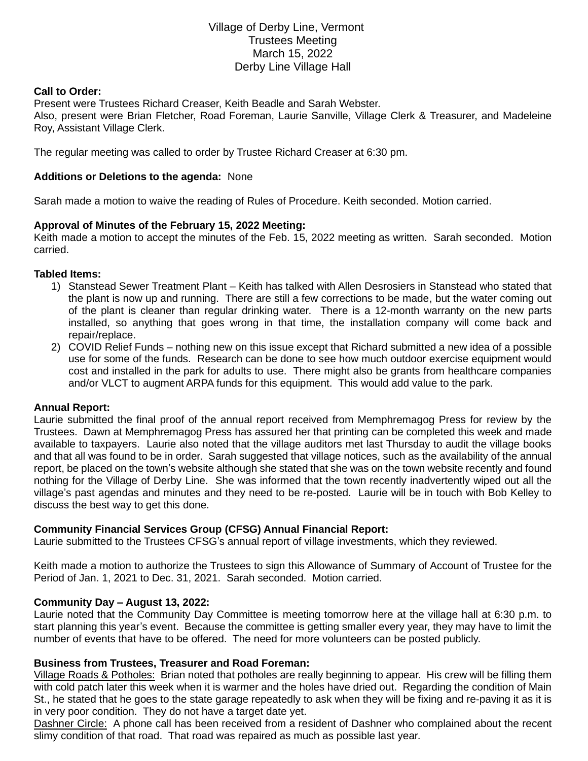# Village of Derby Line, Vermont Trustees Meeting March 15, 2022 Derby Line Village Hall

### **Call to Order:**

Present were Trustees Richard Creaser, Keith Beadle and Sarah Webster. Also, present were Brian Fletcher, Road Foreman, Laurie Sanville, Village Clerk & Treasurer, and Madeleine Roy, Assistant Village Clerk.

The regular meeting was called to order by Trustee Richard Creaser at 6:30 pm.

### **Additions or Deletions to the agenda:** None

Sarah made a motion to waive the reading of Rules of Procedure. Keith seconded. Motion carried.

### **Approval of Minutes of the February 15, 2022 Meeting:**

Keith made a motion to accept the minutes of the Feb. 15, 2022 meeting as written. Sarah seconded. Motion carried.

#### **Tabled Items:**

- 1) Stanstead Sewer Treatment Plant Keith has talked with Allen Desrosiers in Stanstead who stated that the plant is now up and running. There are still a few corrections to be made, but the water coming out of the plant is cleaner than regular drinking water. There is a 12-month warranty on the new parts installed, so anything that goes wrong in that time, the installation company will come back and repair/replace.
- 2) COVID Relief Funds nothing new on this issue except that Richard submitted a new idea of a possible use for some of the funds. Research can be done to see how much outdoor exercise equipment would cost and installed in the park for adults to use. There might also be grants from healthcare companies and/or VLCT to augment ARPA funds for this equipment. This would add value to the park.

#### **Annual Report:**

Laurie submitted the final proof of the annual report received from Memphremagog Press for review by the Trustees. Dawn at Memphremagog Press has assured her that printing can be completed this week and made available to taxpayers. Laurie also noted that the village auditors met last Thursday to audit the village books and that all was found to be in order. Sarah suggested that village notices, such as the availability of the annual report, be placed on the town's website although she stated that she was on the town website recently and found nothing for the Village of Derby Line. She was informed that the town recently inadvertently wiped out all the village's past agendas and minutes and they need to be re-posted. Laurie will be in touch with Bob Kelley to discuss the best way to get this done.

#### **Community Financial Services Group (CFSG) Annual Financial Report:**

Laurie submitted to the Trustees CFSG's annual report of village investments, which they reviewed.

Keith made a motion to authorize the Trustees to sign this Allowance of Summary of Account of Trustee for the Period of Jan. 1, 2021 to Dec. 31, 2021. Sarah seconded. Motion carried.

#### **Community Day – August 13, 2022:**

Laurie noted that the Community Day Committee is meeting tomorrow here at the village hall at 6:30 p.m. to start planning this year's event. Because the committee is getting smaller every year, they may have to limit the number of events that have to be offered. The need for more volunteers can be posted publicly.

#### **Business from Trustees, Treasurer and Road Foreman:**

Village Roads & Potholes: Brian noted that potholes are really beginning to appear. His crew will be filling them with cold patch later this week when it is warmer and the holes have dried out. Regarding the condition of Main St., he stated that he goes to the state garage repeatedly to ask when they will be fixing and re-paving it as it is in very poor condition. They do not have a target date yet.

Dashner Circle: A phone call has been received from a resident of Dashner who complained about the recent slimy condition of that road. That road was repaired as much as possible last year.